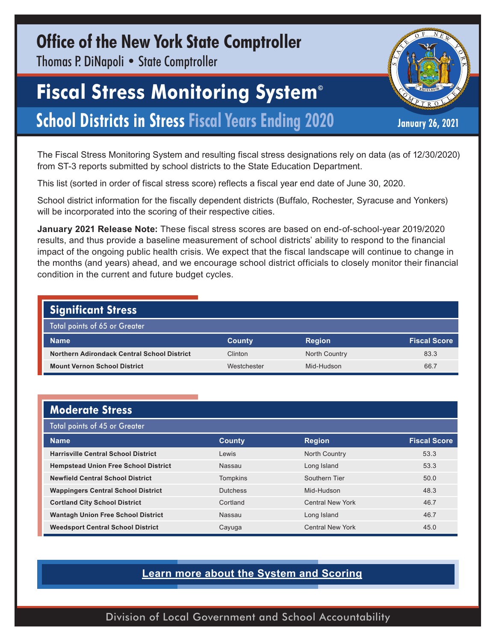### **Office of the New York State Comptroller**

Thomas P. DiNapoli • State Comptroller

# **Fiscal Stress Monitoring System©**

## **School Districts in Stress Fiscal Years Ending 2020** January 26, 2021

The Fiscal Stress Monitoring System and resulting fiscal stress designations rely on data (as of 12/30/2020) from ST-3 reports submitted by school districts to the State Education Department.

This list (sorted in order of fiscal stress score) reflects a fiscal year end date of June 30, 2020.

School district information for the fiscally dependent districts (Buffalo, Rochester, Syracuse and Yonkers) will be incorporated into the scoring of their respective cities.

**January 2021 Release Note:** These fiscal stress scores are based on end-of-school-year 2019/2020 results, and thus provide a baseline measurement of school districts' ability to respond to the financial impact of the ongoing public health crisis. We expect that the fiscal landscape will continue to change in the months (and years) ahead, and we encourage school district officials to closely monitor their financial condition in the current and future budget cycles.

| <b>Significant Stress</b>                   |               |                      |                     |
|---------------------------------------------|---------------|----------------------|---------------------|
| Total points of 65 or Greater               |               |                      |                     |
|                                             |               |                      |                     |
| <b>Name</b>                                 | <b>County</b> | <b>Region</b>        | <b>Fiscal Score</b> |
| Northern Adirondack Central School District | Clinton       | <b>North Country</b> | 83.3                |

#### **Moderate Stress**

| <b>Total points of 45 or Greater</b>        |                 |                         |                     |  |  |
|---------------------------------------------|-----------------|-------------------------|---------------------|--|--|
| <b>Name</b>                                 | <b>County</b>   | <b>Region</b>           | <b>Fiscal Score</b> |  |  |
| <b>Harrisville Central School District</b>  | Lewis           | North Country           | 53.3                |  |  |
| <b>Hempstead Union Free School District</b> | Nassau          | Long Island             | 53.3                |  |  |
| <b>Newfield Central School District</b>     | <b>Tompkins</b> | Southern Tier           | 50.0                |  |  |
| <b>Wappingers Central School District</b>   | <b>Dutchess</b> | Mid-Hudson              | 48.3                |  |  |
| <b>Cortland City School District</b>        | Cortland        | <b>Central New York</b> | 46.7                |  |  |
| <b>Wantagh Union Free School District</b>   | Nassau          | Long Island             | 46.7                |  |  |
| <b>Weedsport Central School District</b>    | Cayuga          | <b>Central New York</b> | 45.0                |  |  |

#### **[Learn more about the System and Scoring](https://www.osc.state.ny.us/localgov/fiscalmonitoring/pdf/factsheet.pdf)**

Division of Local Government and School Accountability